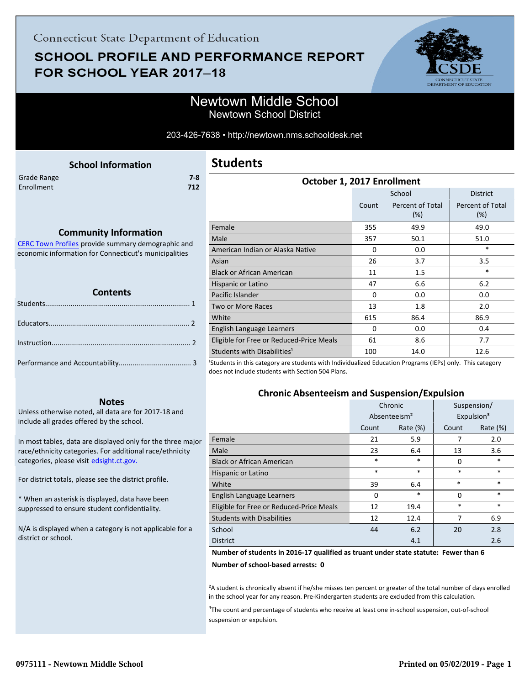# **SCHOOL PROFILE AND PERFORMANCE REPORT** FOR SCHOOL YEAR 2017-18



Newtown School District

#### 203-426-7638 • http://newtown.nms.schooldesk.net

<span id="page-0-0"></span>

|             | <b>School Information</b> |     |
|-------------|---------------------------|-----|
| Grade Range |                           | 7-8 |
| Enrollment  |                           | 712 |
|             |                           |     |

### **Students**

| October 1, 2017 Enrollment               |          |                            |                                |  |
|------------------------------------------|----------|----------------------------|--------------------------------|--|
|                                          |          | School                     | <b>District</b>                |  |
|                                          | Count    | Percent of Total<br>$(\%)$ | <b>Percent of Total</b><br>(%) |  |
| Female                                   | 355      | 49.9                       | 49.0                           |  |
| Male                                     | 357      | 50.1                       | 51.0                           |  |
| American Indian or Alaska Native         | 0        | 0.0                        | $\ast$                         |  |
| Asian                                    | 26       | 3.7                        | 3.5                            |  |
| <b>Black or African American</b>         | 11       | $1.5\,$                    | $\ast$                         |  |
| Hispanic or Latino                       | 47       | 6.6                        | 6.2                            |  |
| Pacific Islander                         | $\Omega$ | 0.0                        | 0.0                            |  |
| <b>Two or More Races</b>                 | 13       | 1.8                        | 2.0                            |  |
| White                                    | 615      | 86.4                       | 86.9                           |  |
| English Language Learners                | $\Omega$ | 0.0                        | 0.4                            |  |
| Eligible for Free or Reduced-Price Meals | 61       | 8.6                        | 7.7                            |  |
| Students with Disabilities <sup>1</sup>  | 100      | 14.0                       | 12.6                           |  |

<sup>1</sup>Students in this category are students with Individualized Education Programs (IEPs) only. This category does not include students with Section 504 Plans.

### **Chronic Absenteeism and Suspension/Expulsion**

|                                          | Chronic  |                          | Suspension/ |                        |
|------------------------------------------|----------|--------------------------|-------------|------------------------|
|                                          |          | Absenteeism <sup>2</sup> |             | Expulsion <sup>3</sup> |
|                                          | Count    | Rate $(\%)$              | Count       | Rate $(\%)$            |
| Female                                   | 21       | 5.9                      | 7           | 2.0                    |
| Male                                     | 23       | 6.4                      | 13          | 3.6                    |
| <b>Black or African American</b>         | $\ast$   | *                        | 0           | *                      |
| Hispanic or Latino                       | $\ast$   | $\ast$                   | $\ast$      | $\ast$                 |
| White                                    | 39       | 6.4                      | $\ast$      | $\ast$                 |
| English Language Learners                | $\Omega$ | $\ast$                   | 0           | $\ast$                 |
| Eligible for Free or Reduced-Price Meals | 12       | 19.4                     | $\ast$      | $\ast$                 |
| <b>Students with Disabilities</b>        | 12       | 12.4                     | 7           | 6.9                    |
| School                                   | 44       | 6.2                      | 20          | 2.8                    |
| <b>District</b>                          |          | 4.1                      |             | 2.6                    |

#### **Number of students in 2016-17 qualified as truant under state statute: Fewer than 6**

**Number of school-based arrests: 0**

<sup>2</sup>A student is chronically absent if he/she misses ten percent or greater of the total number of days enrolled in the school year for any reason. Pre-Kindergarten students are excluded from this calculation.

<sup>3</sup>The count and percentage of students who receive at least one in-school suspension, out-of-school suspension or expulsion.

#### **Community Information**

[CERC Town Profiles provide summary demographic and](http://www.cerc.com/townprofiles/) economic information for Connecticut's municipalities

#### **Contents**

#### **Notes**

Unless otherwise noted, all data are for 2017-18 and include all grades offered by the school.

[In most tables, data are displayed only for the three major](http://edsight.ct.gov/) race/ethnicity categories. For additional race/ethnicity categories, please visit edsight.ct.gov.

For district totals, please see the district profile.

\* When an asterisk is displayed, data have been suppressed to ensure student confidentiality.

N/A is displayed when a category is not applicable for a district or school.

LE<br>ATION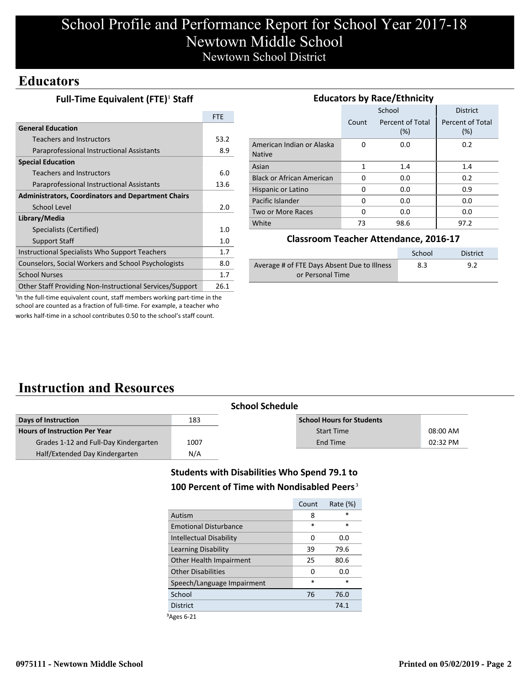# School Profile and Performance Report for School Year 2017-18 Newtown Middle School Newtown School District

### **Educators**

| Full-Time Equivalent (FTE) <sup>1</sup> Staff |  |
|-----------------------------------------------|--|
|-----------------------------------------------|--|

|                                                           | <b>FTE</b> |
|-----------------------------------------------------------|------------|
| <b>General Education</b>                                  |            |
| <b>Teachers and Instructors</b>                           | 53.2       |
| Paraprofessional Instructional Assistants                 | 8.9        |
| <b>Special Education</b>                                  |            |
| <b>Teachers and Instructors</b>                           | 6.0        |
| Paraprofessional Instructional Assistants                 | 13.6       |
| <b>Administrators, Coordinators and Department Chairs</b> |            |
| School Level                                              | 2.0        |
| Library/Media                                             |            |
| Specialists (Certified)                                   | 1.0        |
| <b>Support Staff</b>                                      | 1.0        |
| Instructional Specialists Who Support Teachers            | 1.7        |
| Counselors, Social Workers and School Psychologists       | 8.0        |
| <b>School Nurses</b>                                      | 1.7        |
| Other Staff Providing Non-Instructional Services/Support  | 26.1       |

| <b>Educators by Race/Ethnicity</b>         |       |                         |                         |  |  |
|--------------------------------------------|-------|-------------------------|-------------------------|--|--|
|                                            |       | School                  | <b>District</b>         |  |  |
|                                            | Count | Percent of Total<br>(%) | Percent of Total<br>(%) |  |  |
| American Indian or Alaska<br><b>Native</b> | 0     | 0.0                     | 0.2                     |  |  |
| Asian                                      | 1     | 1.4                     | 1.4                     |  |  |
| <b>Black or African American</b>           | 0     | 0.0                     | 0.2                     |  |  |
| Hispanic or Latino                         | 0     | 0.0                     | 0.9                     |  |  |
| Pacific Islander                           | 0     | 0.0                     | 0.0                     |  |  |
| Two or More Races                          | 0     | 0.0                     | 0.0                     |  |  |
| White                                      | 73    | 98.6                    | 97.2                    |  |  |

#### **Classroom Teacher Attendance, 2016-17**

|                                             | School | District |
|---------------------------------------------|--------|----------|
| Average # of FTE Days Absent Due to Illness | 8.3    | 9.2      |
| or Personal Time                            |        |          |

<sup>1</sup>In the full-time equivalent count, staff members working part-time in the school are counted as a fraction of full-time. For example, a teacher who works half-time in a school contributes 0.50 to the school's staff count.

# **Instruction and Resources**

|                                       |      | <b>School Schedule</b>           |          |
|---------------------------------------|------|----------------------------------|----------|
| Days of Instruction<br>183            |      | <b>School Hours for Students</b> |          |
| <b>Hours of Instruction Per Year</b>  |      | <b>Start Time</b>                | 08:00 AM |
| Grades 1-12 and Full-Day Kindergarten | 1007 | End Time                         | 02:32 PM |
| Half/Extended Day Kindergarten        | N/A  |                                  |          |

### **Students with Disabilities Who Spend 79.1 to**

#### 100 Percent of Time with Nondisabled Peers<sup>3</sup>

|                              | Count  | Rate (%) |
|------------------------------|--------|----------|
| Autism                       | 8      | *        |
| <b>Emotional Disturbance</b> | $\ast$ | $\ast$   |
| Intellectual Disability      | 0      | 0.0      |
| Learning Disability          | 39     | 79.6     |
| Other Health Impairment      | 25     | 80.6     |
| Other Disabilities           | 0      | 0.O      |
| Speech/Language Impairment   | *      | *        |
| School                       | 76     | 76.0     |
| <b>District</b>              |        | 74.1     |
|                              |        |          |

³Ages 6-21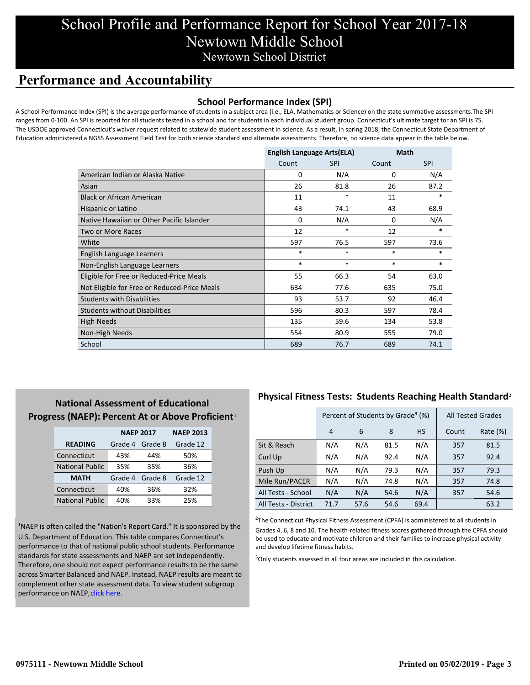# School Profile and Performance Report for School Year 2017-18 Newtown Middle School Newtown School District

## **Performance and Accountability**

### **School Performance Index (SPI)**

A School Performance Index (SPI) is the average performance of students in a subject area (i.e., ELA, Mathematics or Science) on the state summative assessments.The SPI ranges from 0-100. An SPI is reported for all students tested in a school and for students in each individual student group. Connecticut's ultimate target for an SPI is 75. The USDOE approved Connecticut's waiver request related to statewide student assessment in science. As a result, in spring 2018, the Connecticut State Department of Education administered a NGSS Assessment Field Test for both science standard and alternate assessments. Therefore, no science data appear in the table below.

|                                              | <b>English Language Arts(ELA)</b> |            | Math   |            |
|----------------------------------------------|-----------------------------------|------------|--------|------------|
|                                              | Count                             | <b>SPI</b> | Count  | <b>SPI</b> |
| American Indian or Alaska Native             | 0                                 | N/A        | 0      | N/A        |
| Asian                                        | 26                                | 81.8       | 26     | 87.2       |
| <b>Black or African American</b>             | 11                                | $\ast$     | 11     | $\ast$     |
| Hispanic or Latino                           | 43                                | 74.1       | 43     | 68.9       |
| Native Hawaiian or Other Pacific Islander    | $\Omega$                          | N/A        | 0      | N/A        |
| Two or More Races                            | 12                                | $\ast$     | 12     | *          |
| White                                        | 597                               | 76.5       | 597    | 73.6       |
| English Language Learners                    | $\ast$                            | $\ast$     | $\ast$ | $\ast$     |
| Non-English Language Learners                | $\ast$                            | $\ast$     | $\ast$ | $\ast$     |
| Eligible for Free or Reduced-Price Meals     | 55                                | 66.3       | 54     | 63.0       |
| Not Eligible for Free or Reduced-Price Meals | 634                               | 77.6       | 635    | 75.0       |
| <b>Students with Disabilities</b>            | 93                                | 53.7       | 92     | 46.4       |
| <b>Students without Disabilities</b>         | 596                               | 80.3       | 597    | 78.4       |
| High Needs                                   | 135                               | 59.6       | 134    | 53.8       |
| Non-High Needs                               | 554                               | 80.9       | 555    | 79.0       |
| School                                       | 689                               | 76.7       | 689    | 74.1       |

### **National Assessment of Educational** Progress (NAEP): Percent At or Above Proficient<sup>1</sup>

|                        | <b>NAEP 2017</b>   |         | <b>NAEP 2013</b> |
|------------------------|--------------------|---------|------------------|
| <b>READING</b>         | Grade 4<br>Grade 8 |         | Grade 12         |
| Connecticut            | 43%                | 44%     | 50%              |
| <b>National Public</b> | 35%                | 35%     | 36%              |
| <b>MATH</b>            | Grade 4            | Grade 8 | Grade 12         |
| Connecticut            | 40%                | 36%     | 32%              |
| <b>National Public</b> | 40%                | 33%     | 25%              |

<sup>1</sup>NAEP is often called the "Nation's Report Card." It is sponsored by the U.S. Department of Education. This table compares Connecticut's performance to that of national public school students. Performance standards for state assessments and NAEP are set independently. Therefore, one should not expect performance results to be the same [across Smarter Balanced and NAEP. Instead, NAEP results are meant to](https://portal.ct.gov/-/media/SDE/Student-Assessment/NAEP/report-card_NAEP-2017.pdf?la=en) complement other state assessment data. To view student subgroup performance on NAEP, click here.

### **Physical Fitness Tests: Students Reaching Health Standard**²

|                      | Percent of Students by Grade <sup>3</sup> (%) |      |      |           | <b>All Tested Grades</b> |          |
|----------------------|-----------------------------------------------|------|------|-----------|--------------------------|----------|
|                      | 4                                             | 6    | 8    | <b>HS</b> | Count                    | Rate (%) |
| Sit & Reach          | N/A                                           | N/A  | 81.5 | N/A       | 357                      | 81.5     |
| Curl Up              | N/A                                           | N/A  | 92.4 | N/A       | 357                      | 92.4     |
| Push Up              | N/A                                           | N/A  | 79.3 | N/A       | 357                      | 79.3     |
| Mile Run/PACER       | N/A                                           | N/A  | 74.8 | N/A       | 357                      | 74.8     |
| All Tests - School   | N/A                                           | N/A  | 54.6 | N/A       | 357                      | 54.6     |
| All Tests - District | 71.7                                          | 57.6 | 54.6 | 69.4      |                          | 63.2     |

 $2$ The Connecticut Physical Fitness Assessment (CPFA) is administered to all students in Grades 4, 6, 8 and 10. The health-related fitness scores gathered through the CPFA should be used to educate and motivate children and their families to increase physical activity and develop lifetime fitness habits.

<sup>3</sup>Only students assessed in all four areas are included in this calculation.